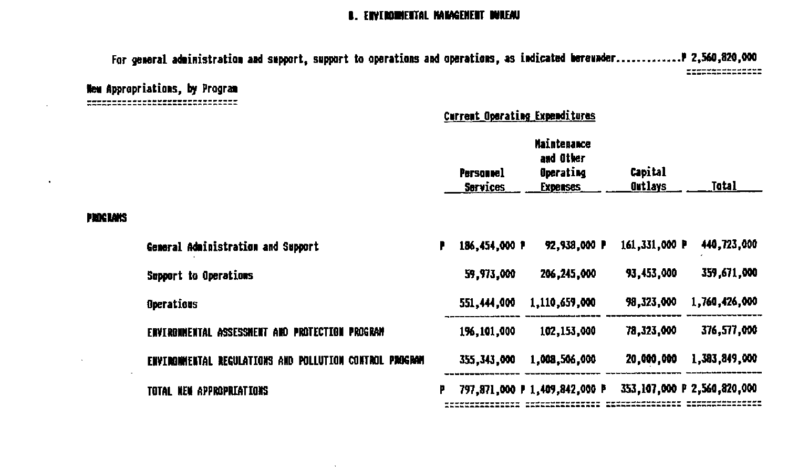### B. ENVIRONMENTAL MANAGEMENT DUREAU

For general administration and support, support to operations and operations, as indicated bereunder............... 7,560,820,000 ===============

New Appropriations, by Program --------------------------------

 $\cdot$ 

## Current Operating Expenditures

|                                                           | <b>Maintenance</b> |                                     |                              |                            |                                                |
|-----------------------------------------------------------|--------------------|-------------------------------------|------------------------------|----------------------------|------------------------------------------------|
|                                                           |                    | <b>Personnel</b><br><b>Services</b> | Operating<br><b>Expenses</b> | Capital<br><b>Outlays</b>  | Total                                          |
|                                                           |                    |                                     |                              |                            |                                                |
| General Administration and Support                        | ₽                  |                                     | 92,938,000 P                 |                            | 440,723,000                                    |
| Support to Operations                                     |                    | 59,973,000                          | 206, 245, 000                | 93,453,000                 | 359,671,000                                    |
| Operations                                                |                    | 551,444,000                         | 1,110,659,000                | 98,323,000                 | 1,760,426,000                                  |
| ASSESSMENT AND PROTECTION PROGRAM<br><b>ENVIRONMENTAL</b> |                    | 196,101,000                         | 102,153,000                  | 78,323,000                 | 376,577,000                                    |
| ENVIRONMENTAL REGULATIONS AND POLLUTION CONTROL PROGRAM   |                    | 355, 343, 000                       | 1,008,506,000                | 20,000,000                 | 1,393,849,000                                  |
| TOTAL NEW APPROPRIATIONS                                  | F                  |                                     |                              |                            | 353,107,000 P 2,560,820,000                    |
|                                                           |                    |                                     |                              | and Other<br>186,454,000 P | 161,331,000 P<br>797,871,000 P 1,409,842,000 P |

 $\mathbf{r}$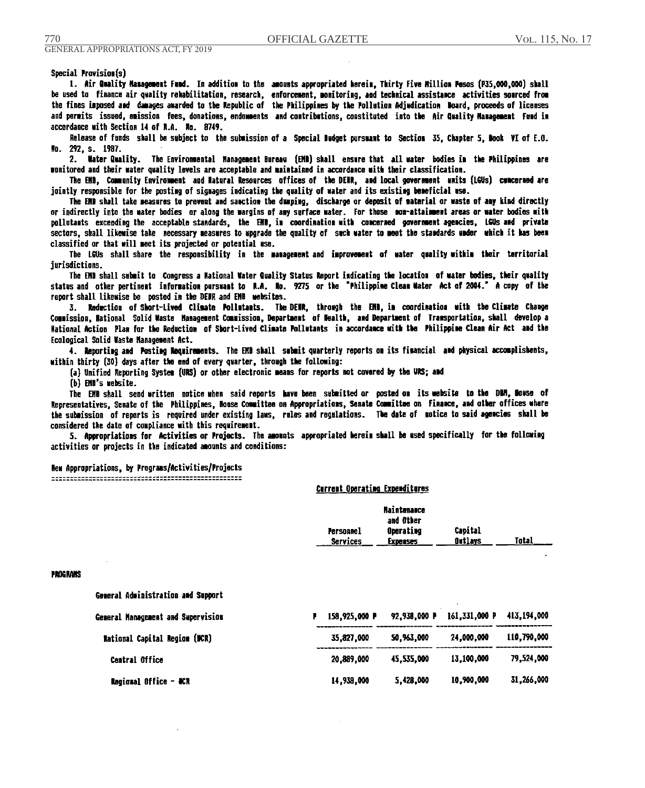Special Provision(s)

1. Air Quality Management Famd. In addition to the amounts appropriated herein. Thirty Five Million Pesos (P35.000.000) shall be used to finance air quality rehabilitation, research, enforcement, monitoring, and technical assistance activities sourced from the fines imposed and damages awarded to the Republic of the Philippines by the Pollution Adjudication Woard, proceeds of licenses and permits issued, emission fees, donations, endomments and contributions, constituted into the Air Quality Management Fund in accordance with Section 14 of R.A. No. 8749.

Release of funds shall be subject to the submission of a Special Budget pursuant to Section 35, Chapter 5, Book VI of E.G. No. 292, s. 1987.

2. Water Quality. The Environmental Management Bureau (EMB) shall ensure that all water bodies in the Philippines are monitored and their water quality levels are acceptable and maintained in accordance with their classification.

The EMB, Community Environment and Matural Resources offices of the DEMR, and local government units (LGUs) concerned are jointly responsible for the posting of signages indicating the quality of water and its existing beneficial use.

The EMB shall take measures to prevent and sanction the dumping, discharge or deposit of material or waste of any kind directly or indirectly into the mater bodies or along the margins of any surface mater. For those non-attainment areas or water bodies with pollutants exceeding the acceptable standards, the EMB, in coordination with concerned government agencies, LGUs and private sectors, shall likewise take necessary measures to upgrade the quality of such water to meet the standards under which it has been classified or that will meet its projected or potential use.

The LGUs shall-share the responsibility in the management-and improvement of water quality-within their territorial iurisdictions.

The EMB shall submit to Congress a National Water Quality Status Report indicating the location of water bodies, their quality status and other pertinent information pursuant to N.A. No. 9275 or the "Philippine Cleam Mater Act of 2004." A copy of the report shall likewise be posted in the DENR and EMB websites.

3. Reduction of Short-Lived Climate Pollutants. The DENR, through the ENB, in coordination with the Climate Change Commission, National Solid Waste Management Commission, Department of Mealth, and Department of Transportation, shall develop a Mational Action Plan for the Reduction of Short-Lived Climate Pollutants in accordance with the Philippine Clean Air Act and the Ecological Solid Waste Management Act.

4. Reporting and Posting Roquirements. The EMB shall submit quarterly reports on its financial and physical accomplishents, within thirty (30) days after the end of every quarter, through the following:

(a) Unified Reporting System (URS) or other electronic means for reports not covered by the URS; and

(b) EMD's website.

TN

The EMB shall send written notice when said reports have been submitted or posted on its website to the DBM, Howse of Representatives, Senate of the Philippines, Mosse Committee on Appropriations, Senate Committee on Finance, and other offices where the submission of reports is required under existing laws, rules and regulations. The date of notice to said agencies shall be considered the date of compliance with this requirement.

5. Appropriations for Activities or Projects. The amounts appropriated herein shall be used specifically for the following activities or projects in the indicated amounts and conditions:

Carrent Operation Expositionac

New Appropriations, by Programs/Activities/Projects

|              |                                      |   | ASIAN AND AND STREET CANALLY AND    |                                                                 |                           |              |
|--------------|--------------------------------------|---|-------------------------------------|-----------------------------------------------------------------|---------------------------|--------------|
|              |                                      |   | <b>Personnel</b><br><b>Services</b> | <b>Haintenance</b><br>and Other<br>Operating<br><b>Expenses</b> | Capital<br><u>Outlays</u> | <b>Total</b> |
| <b>Grans</b> |                                      |   |                                     |                                                                 |                           |              |
|              | General Administration and Support   |   |                                     |                                                                 |                           |              |
|              | General Management and Supervision   | P | 158,925,000 P                       | 92,938,000 P                                                    | 161,331,000 P             | 413,194,000  |
|              | <b>Mational Capital Region (MCR)</b> |   | 35,827,000                          | 50,963,000                                                      | 24,000,000                | 110,790,000  |
|              | <b>Central Office</b>                |   | 20,889,000                          | 45,535,000                                                      | 13,100,000                | 79,524,000   |
|              | Regional Office - MCR                |   | 14,938,000                          | 5,428,000                                                       | 10,900,000                | 31,266,000   |
|              |                                      |   |                                     |                                                                 |                           |              |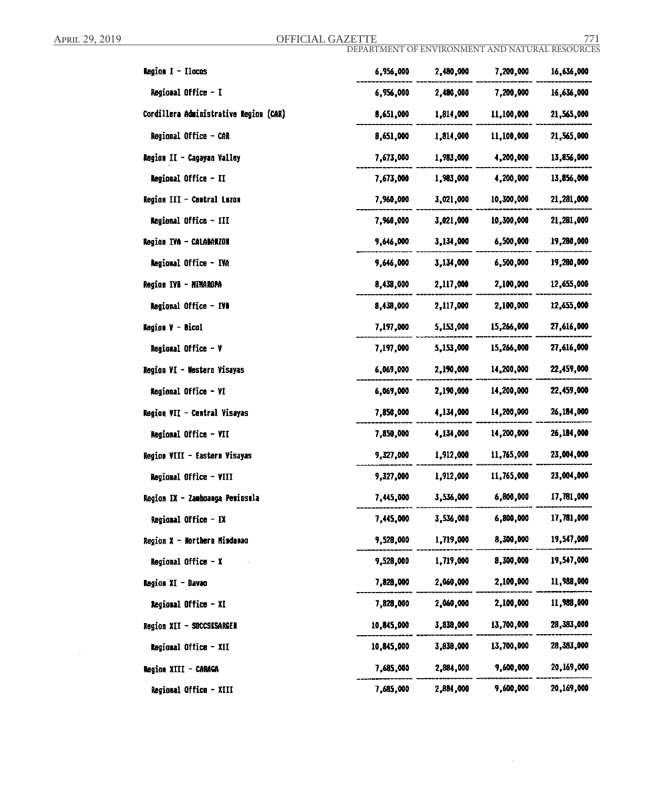April 29, 2019 **OFFICIAL GAZETTE** 771

DEPARTMENT OF ENVIRONMENT AND NATURAL RESOURCES

 $\bar{\mathbf{x}}$ 

| <b>Region <math>I - I</math>locos</b>  | 6,956,000  | 2,480,000 | 7,200,000  | 16,636,000 |
|----------------------------------------|------------|-----------|------------|------------|
| Regional Office - I                    | 6,956,000  | 2,480,000 | 7,200,000  | 16,636,000 |
| Cordillera Administrative Region (CAR) | 8,651,000  | 1,814,000 | 11,100,000 | 21,565,000 |
| Regional Office - CAR                  | 8,651,000  | 1,814,000 | 11,100,000 | 21,565,000 |
| Region II - Cagayan Valley             | 7,673,000  | 1,983,000 | 4,200,000  | 13,856,000 |
| <b>Regional Office - II</b>            | 7,673,000  | 1,983,000 | 4,200,000  | 13,856,000 |
| Region III - Central Luzon             | 7,960,000  | 3,021,000 | 10,300,000 | 21,281,000 |
| Regional Office - III                  | 7,960,000  | 3,021,000 | 10,300,000 | 21,281,000 |
| Region IVA - CALADARZON                | 9,646,000  | 3,134,000 | 6,500,000  | 19,280,000 |
| Regional Office - IVA                  | 9,646,000  | 3,134,000 | 6,500,000  | 19,280,000 |
| Region IVB - MIMAROPA                  | 8,438,000  | 2,117,000 | 2,100,000  | 12,655,000 |
| Regional Office - IVO                  | 8,438,000  | 2,117,000 | 2,100,000  | 12,655,000 |
| <b>Region V - Bicol</b>                | 7,197,000  | 5,153,000 | 15,266,000 | 27,616,000 |
| Regional Office - V                    | 7,197,000  | 5,153,000 | 15,266,000 | 27,616,000 |
| Region VI - Western Visayas            | 6,069,000  | 2,190,000 | 14,200,000 | 22,459,000 |
| Regional Office - VI                   | 6,069,000  | 2,190,000 | 14,200,000 | 22,459,000 |
| Region VII - Central Visayas           | 7,850,000  | 4,134,000 | 14,200,000 | 26,184,000 |
| Regional Office - VII                  | 7,850,000  | 4,134,000 | 14,200,000 | 26,184,000 |
| Region VIII - Eastern Visayas          | 9,327,000  | 1,912,000 | 11,765,000 | 23,004,000 |
| Regional Office - VIII                 | 9,327,000  | 1,912,000 | 11,765,000 | 23,004,000 |
| Region IX - Zamboanga Peminsula        | 7,445,000  | 3,536,000 | 6,800,000  | 17,781,000 |
| Regional Office - DX                   | 7,445,000  | 3,536,000 | 6,800,000  | 17,781,000 |
| Region X - Morthern Mindanao           | 9,528,000  | 1,719,000 | 8,300,000  | 19,547,000 |
| Regional Office - X                    | 9,528,000  | 1,719,000 | 8,300,000  | 19,547,000 |
| Ragion XI - Davao                      | 7,828,000  | 2,060,000 | 2,100,000  | 11,988,000 |
| Regional Office - XI                   | 7,828,000  | 2,060,000 | 2,100,000  | 11,988,000 |
| Region XII - SUCCSKSARGEN              | 10,845,000 | 3,838,000 | 13,700,000 | 28,383,000 |
| Regional Office - XII                  | 10,845,000 | 3,838,000 | 13,700,000 | 28,383,000 |
| <b>Region XIII - CARAGA</b>            | 7,685,000  | 2,884,000 | 9,600,000  | 20,169,000 |
| Regional Office - XIII                 | 7,685,000  | 2,884,000 | 9,600,000  | 20,169,000 |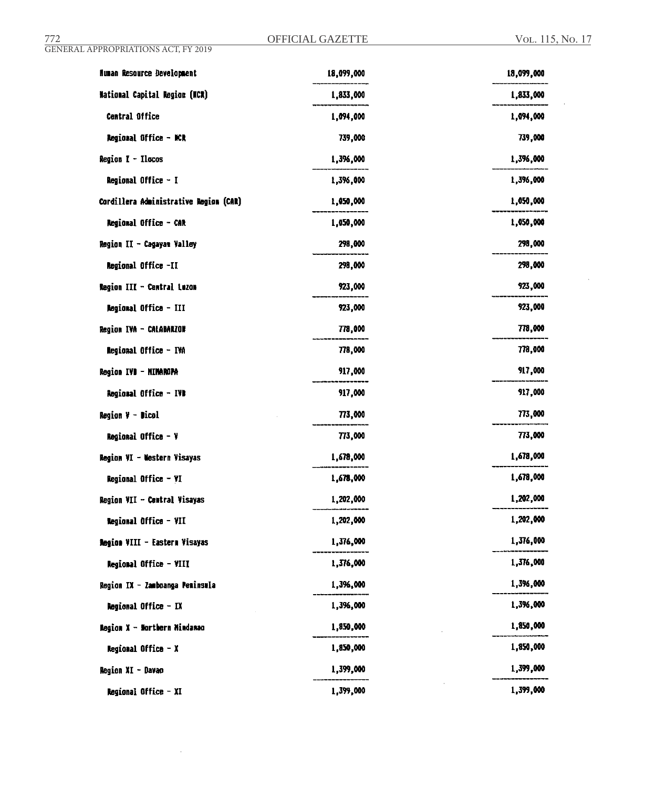$\hat{\mathcal{A}}$ 

| <b>Human Resource Development</b>      | 18,099,000 | 18,099,000 |
|----------------------------------------|------------|------------|
| <b>National Capital Region (NCR)</b>   | 1,833,000  | 1,833,000  |
| Central Office                         | 1,094,000  | 1,094,000  |
| Regional Office - NCR                  | 739,000    | 739,000    |
| Region I - Ilocos                      | 1,396,000  | 1,396,000  |
| Regional Office - I                    | 1,396,000  | 1,396,000  |
| Cordillera Administrative Region (CAR) | 1,050,000  | 1,050,000  |
| Regional Office - CAR                  | 1,050,000  | 1,050,000  |
| Region II - Cagayan Valley             | 298,000    | 298,000    |
| Regional Office -II                    | 298,000    | 298,000    |
| Region III - Central Luzon             | 923,000    | 923,000    |
| Regional Office - III                  | 923,000    | 923,000    |
| Region IVA - CALABARZON                | 778,000    | 778,000    |
| Regional Office - IVA                  | 778,000    | 778,000    |
| Region IVD - HIMARDPA                  | 917,000    | 917,000    |
| Regional Office - IVB                  | 917,000    | 917,000    |
| <b>Region <math>Y -</math> Dicol</b>   | 773,000    | 773,000    |
| Regional Office - V                    | 773,000    | 773,000    |
| Region VI - Western Visayas            | 1,678,000  | 1,678,000  |
| Regional Office - VI                   | 1,678,000  | 1,678,000  |
| Region VII - Central Visayas           | 1,202,000  | 1,202,000  |
| Regional Office - VII                  | 1,202,000  | 1,202,000  |
| Region VIII - Eastern Visayas          | 1,376,000  | 1,376,000  |
| Regional Office - VIII                 | 1,576,000  | 1,376,000  |
| Region IX - Zamboanga Peminswla        | 1,396,000  | 1,396,000  |
| Regional Office - IX                   | 1,396,000  | 1,396,000  |
| Region X - Northern Nindanao           | 1,850,000  | 1,850,000  |
| <b>Regional Office - X</b>             | 1,850,000  | 1,850,000  |
| Region XI - Davao                      | 1,399,000  | 1,399,000  |
| Regional Office - XI                   | 1,399,000  | 1,399,000  |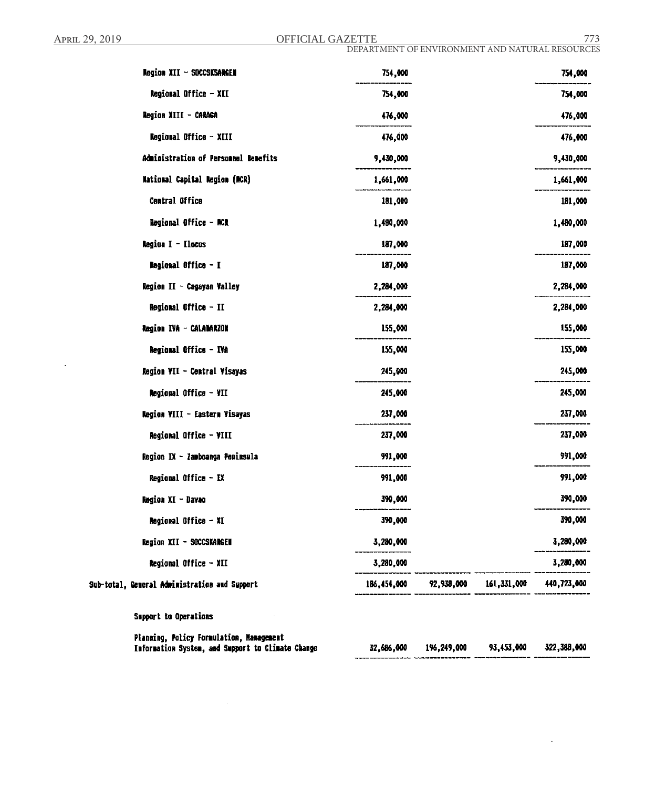$\ddot{\phantom{a}}$ 

April 29, 2019 **OFFICIAL GAZETTE** 773

DEPARTMENT OF ENVIRONMENT AND NATURAL RESOURCES

 $\cdot$ 

| Region XII - SOCCSKSARGEN                                                                     | 754,000     |             |             | 754,000       |
|-----------------------------------------------------------------------------------------------|-------------|-------------|-------------|---------------|
| Regional Office - XII                                                                         | 754,000     |             |             | 754,000       |
| Region XIII - CARAGA                                                                          | 476,000     |             |             | 476,000       |
| Regional Office - XIII                                                                        | 476,000     |             |             | 476,000       |
| Administration of Personnel Benefits                                                          | 9,430,000   |             |             | 9,430,000     |
| National Capital Region (RCR)                                                                 | 1,661,000   |             |             | 1,661,000     |
| <b>Central Office</b>                                                                         | 181,000     |             |             | 181,000       |
| Regional Office - ACR                                                                         | 1,480,000   |             |             | 1,480,000     |
| Region I - Ilocas                                                                             | 187,000     |             |             | 187,000       |
| Regional Office - I                                                                           | 187,000     |             |             | 187,000       |
| Region II - Cagayan Valley                                                                    | 2,284,000   |             |             | 2,284,000     |
| Regional Office - II                                                                          | 2,284,000   |             |             | 2,284,000     |
| Region IVA - CALABARZON                                                                       | 155,000     |             |             | 155,000       |
| Regional Office - IVA                                                                         | 155,000     |             |             | 155,000       |
| Region VII - Central Visayas                                                                  | 245,000     |             |             | 245,000       |
| Regional Office - VII                                                                         | 245,000     |             |             | 245,000       |
| <b>Negion VIII - Eastern Visayas</b>                                                          | 237,000     |             |             | 237,000       |
| Regional Office - VIII                                                                        | 237,000     |             |             | 237,000       |
| Region IX - Zamboanga Penimsula                                                               | 991,000     |             |             | 991,000       |
| Regional Office - IX                                                                          | 991,000     |             |             | 991,000       |
| Region XI - Davao                                                                             | 390,000     |             |             | 390,000       |
| <b>Regional Office - XI</b>                                                                   | 390,000     |             |             | 390,000       |
| Region XII - SOCCSKARGEN                                                                      | 3,280,000   |             |             | 3,280,000     |
| Regional Office - XII                                                                         | 3,280,000   |             |             | 3,280,000     |
| Sub-total, General Administration and Support                                                 | 186,454,000 | 92,938,000  | 161,331,000 | 440,723,000   |
| Support to Operations                                                                         |             |             |             |               |
| Planaing, Policy Formulation, Management<br>Information System, and Support to Climate Change | 32,686,000  | 196,249,000 | 93,453,000  | 322, 388, 000 |

 $\sim$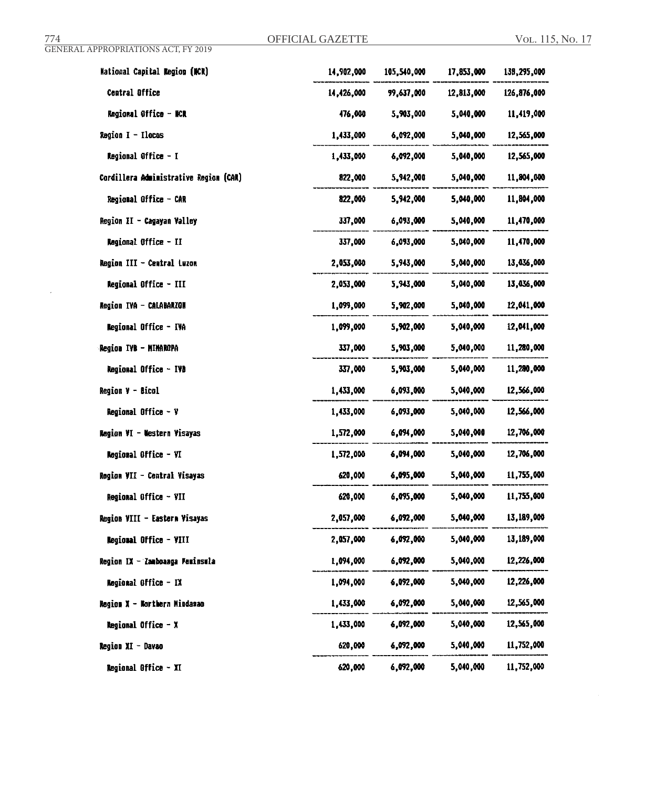$\sim 10^7$ 

| <b>Mational Capital Region (NCR)</b>   | 14,902,000 | 105,540,000 | 17,853,000 | 138,295,000 |
|----------------------------------------|------------|-------------|------------|-------------|
| Central Office                         | 14,426,000 | 99,637,000  | 12,813,000 | 126,876,000 |
| <b>Regional Office - NCR</b>           | 476,000    | 5,903,000   | 5,040,000  | 11,419,000  |
| $Region I - Ilocas$                    | 1,433,000  | 6,092,000   | 5,040,000  | 12,565,000  |
| Regional Office - I                    | 1,433,000  | 6,092,000   | 5,040,000  | 12,565,000  |
| Cordillera Administrative Region (CAR) | 822,000    | 5,942,000   | 5,040,000  | 11,804,000  |
| Regional Office - CAR                  | 822,000    | 5,942,000   | 5,040,000  | 11,804,000  |
| Region II - Cagayan Valley             | 337,000    | 6,093,000   | 5,040,000  | 11,470,000  |
| Regional Office - II                   | 337,000    | 6,093,000   | 5,040,000  | 11,470,000  |
| Region III - Central Luzon             | 2,053,000  | 5,943,000   | 5,040,000  | 13,036,000  |
| Regional Office - III                  | 2,053,000  | 5,943,000   | 5,040,000  | 13,036,000  |
| Region IVA - CALABARZON                | 1,099,000  | 5,902,000   | 5.040.000  | 12,041,000  |
| Regional Office - IVA                  | 1,099,000  | 5,902,000   | 5,040,000  | 12,041,000  |
| Region IVB - MIMAROPA                  | 337,000    | 5,903,000   | 5,040,000  | 11,280,000  |
| <b>Regional Office - IVD</b>           | 337,000    | 5,903,000   | 5,040,000  | 11,280,000  |
| <b>Region V - Bicol</b>                | 1,433,000  | 6,093,000   | 5,040,000  | 12,566,000  |
| Regional Office - V                    | 1,433,000  | 6,093,000   | 5,040,000  | 12,566,000  |
| Region VI - Western Visayas            | 1,572,000  | 6,094,000   | 5,040,000  | 12,706,000  |
| Regional Office - VI                   | 1,572,000  | 6,094,000   | 5,040,000  | 12,706,000  |
| Region VII - Central Visayas           | 620,000    | 6,095,000   | 5,040,000  | 11,755,000  |
| Regional Office - VII                  | 620,000    | 6,095,000   | 5,040,000  | 11,755,000  |
| Region VIII - Eastern Visayas          | 2,057,000  | 6,092,000   | 5,040,000  | 13,189,000  |
| Regional Office - VIII                 | 2,057,000  | 6,092,000   | 5,040,000  | 13,189,000  |
| Region IX - Zamboanga Peminsula        | 1,094,000  | 6,092,000   | 5,040,000  | 12,226,000  |
| Regional Office - IX                   | 1,094,000  | 6,092,000   | 5,040,000  | 12,226,000  |
| Region X - Northern Mindanao           | 1,433,000  | 6,092,000   | 5,040,000  | 12,565,000  |
| Regional Office - X                    | 1,433,000  | 6,092,000   | 5,040,000  | 12,565,000  |
| Region XI - Davao                      | 620,000    | 6,092,000   | 5,040,000  | 11,752,000  |
| Regional Office - XI                   | 620,000    | 6,092,000   | 5,040,000  | 11,752,000  |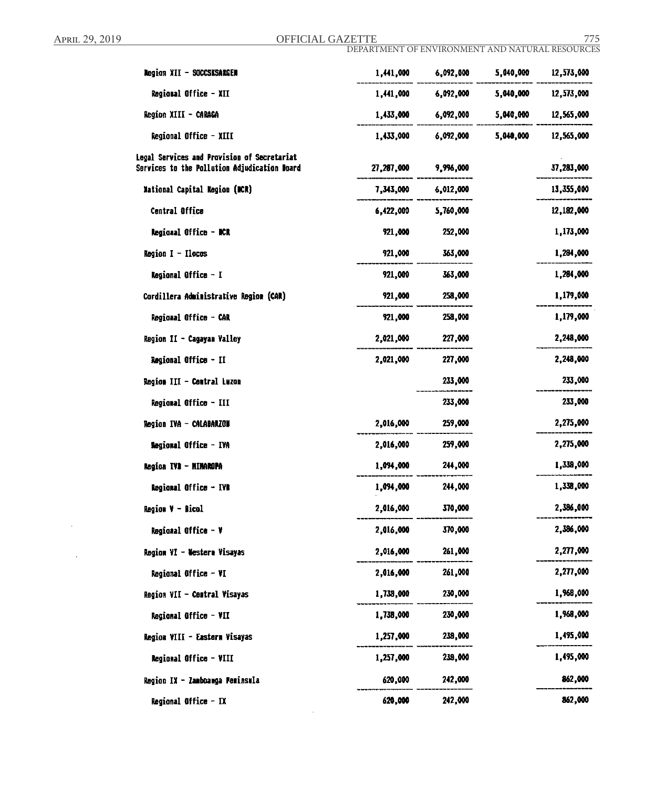J,

 $\Delta$ 

April 29, 2019 **OFFICIAL GAZETTE** 775

DEPARTMENT OF ENVIRONMENT AND NATURAL RESOURCES

| Negion XII - SOCCSKSAKGEN                                                                   | 1,441,000  | 6,092,000 | 5,040,000 | 12,573,000 |
|---------------------------------------------------------------------------------------------|------------|-----------|-----------|------------|
| Regional Office - XII                                                                       | 1,441,000  | 6,092,000 | 5,040,000 | 12,573,000 |
| Region XIII - CARAGA                                                                        | 1,433,000  | 6,092,000 | 5,040,000 | 12,565,000 |
| Regional Office - XIII                                                                      | 1,433,000  | 6,092,000 | 5,040,000 | 12,565,000 |
| Legal Services and Provision of Secretariat<br>Services to the Pollution Adjudication Board | 27,287,000 | 9,996,000 |           | 37,283,000 |
| <b>National Capital Region (NCR)</b>                                                        | 7,343,000  | 6,012,000 |           | 13,355,000 |
| Central Office                                                                              | 6,422,000  | 5,760,000 |           | 12,182,000 |
| Regional Office - NCR                                                                       | 921,000    | 252,000   |           | 1,173,000  |
| <b>Region I - Ilocos</b>                                                                    | 921,000    | 363,000   |           | 1,284,000  |
| <b>Regional Office - I</b>                                                                  | 921,000    | 363,000   |           | 1,284,000  |
| Cordillera Administrative Region (CAR)                                                      | 921,000    | 258,000   |           | 1,179,000  |
| Regional Office - CAR                                                                       | 921,000    | 258,000   |           | 1,179,000  |
| Region II - Cagayan Valley                                                                  | 2,021,000  | 227,000   |           | 2,248,000  |
| Regional Office - II                                                                        | 2,021,000  | 227,000   |           | 2,248,000  |
| Region III - Central Luzon                                                                  |            | 233,000   |           | 233,000    |
| Regional Office - III                                                                       |            | 233,000   |           | 233,000    |
| <b>Region IVA - CALABARZON</b>                                                              | 2,016,000  | 259,000   |           | 2,275,000  |
| <b>Regional Office - IVA</b>                                                                | 2,016,000  | 259,000   |           | 2,275,000  |
| Region IVI - MINAROPA                                                                       | 1,094,000  | 244,000   |           | 1,338,000  |
| Regional Office - IVB                                                                       | 1,094,000  | 244,000   |           | 1,338,000  |
| Region V - Bicol                                                                            | 2,016,000  | 370,000   |           | 2,386,000  |
| Regional Office - V                                                                         | 2,016,000  | 370,000   |           | 2,386,000  |
| Region VI - Western Visayas                                                                 | 2,016,000  | 261,000   |           | 2,277,000  |
| Regional Office - VI                                                                        | 2,016,000  | 261,000   |           | 2,277,000  |
| Region VII - Central Visayas                                                                | 1,738,000  | 230,000   |           | 1,968,000  |
| Regional Office - VII                                                                       | 1,738,000  | 230,000   |           | 1,968,000  |
| Region VIII - Eastern Visayas                                                               | 1,257,000  | 238,000   |           | 1,495,000  |
| <b>Regional Office - VIII</b>                                                               | 1,257,000  | 238,000   |           | 1,495,000  |
| Region IX - Zamboawga Peminsula                                                             | 620,000    | 242,000   |           | 862,000    |
| Regional Office - IX                                                                        | 620,000    | 242,000   |           | 862,000    |

 $\sim 10^6$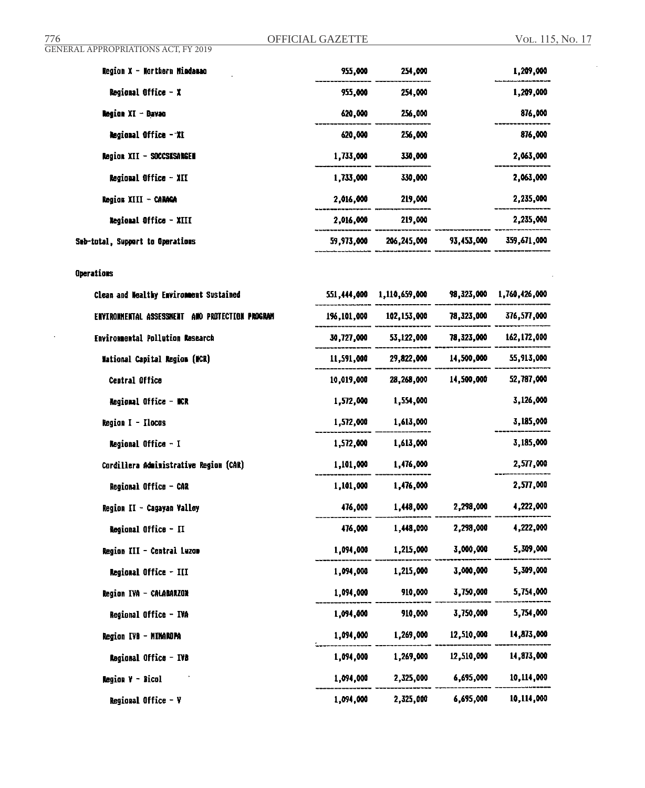GENERAL APPROPRIATIONS ACT, FY 2019

| Region X - Northern Mindanao     | 955,000    | 254.000     |            | 1,209,000   |
|----------------------------------|------------|-------------|------------|-------------|
| Regional Office $- x$            | 955,000    | 254,000     |            | 1,209,000   |
| <b>Region XI - Bavac</b>         | 620.000    | 256,000     |            | 876,000     |
| <b>Regional Office - XI</b>      | 620,000    | 256,000     |            | 876,000     |
| Region XII - SOCCSKSANGEM        | 1,733,000  | 330,000     |            | 2,063,000   |
| Regional Office - XII            | 1,733,000  | 330,000     |            | 2,063,000   |
| Region XIII - CARAGA             | 2,016,000  | 219,000     |            | 2,235,000   |
| <b>Regional Office - XIII</b>    | 2,016,000  | 219,000     |            | 2,235,000   |
| Sub-total, Support to Operations | 59,973,000 | 206,245,000 | 93.453.000 | 359,671,000 |

# **Operations**

| Clean and Nealthy Environment Sustained         | 551,444,000 | 1,110,659,000 | 98,323,000 | 1,760,426,000 |
|-------------------------------------------------|-------------|---------------|------------|---------------|
| ENVIRONMENTAL ASSESSMENT AND PROTECTION PROGRAM | 196,101,000 | 102,153,000   | 78,323,000 | 376,577,000   |
| <b>Environmental Pollution Research</b>         | 30,727,000  | 53,122,000    | 78,323,000 | 162,172,000   |
| <b>Mational Capital Region (NCR)</b>            | 11,591,000  | 29,822,000    | 14,500,000 | 55,913,000    |
| Central Office                                  | 10,019,000  | 28,268,000    | 14,500,000 | 52,787,000    |
| Regional Office - NCR                           | 1,572,000   | 1,554,000     |            | 3,126,000     |
| Region I - Ilocas                               | 1,572,000   | 1,613,000     |            | 3,185,000     |
| <b>Regional Office - I</b>                      | 1,572,000   | 1,613,000     |            | 3,185,000     |
| Cordillera Administrative Region (CAR)          | 1,101,000   | 1,476,000     |            | 2,577,000     |
| Regional Office - CAR                           | 1,101,000   | 1,476,000     |            | 2,577,000     |
| Region II - Cagayan Valley                      | 476,000     | 1,448,000     | 2,298,000  | 4,222,000     |
| <b>Regional Office - II</b>                     | 476,000     | 1.448.000     | 2,298,000  | 4,222,000     |
| Region III - Central Luzon                      | 1,094,000   | 1,215,000     | 3,000,000  | 5,309,000     |
| <b>Regional Office - III</b>                    | 1,094,000   | 1.215,000     | 3.000.000  | 5,309,000     |
| Region IVA - CALABARZON                         | 1,094,000   | 910,000       | 3,750,000  | 5,754,000     |
| Regional Office - IVA                           | 1,094,000   | 910,000       | 3,750,000  | 5,754,000     |
| Region IVB - MINAROPA                           | 1,094,000   | 1,269,000     | 12,510,000 | 14,873,000    |
| Regional Office - IVB                           | 1,094,000   | 1,269,000     | 12,510,000 | 14,873,000    |
| Region V - Bicol                                | 1,094,000   | 2,325,000     | 6,695,000  | 10,114,000    |
| Regional Office $-V$                            | 1,094,000   | 2,325,000     | 6,695,000  | 10,114,000    |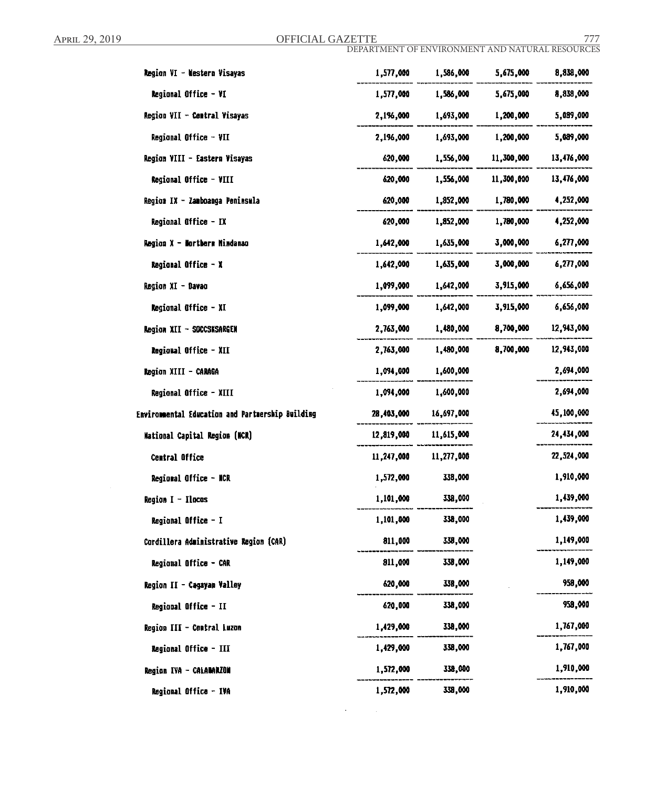April 29, 2019 **OFFICIAL GAZETTE** 777

DEPARTMENT OF ENVIRONMENT AND NATURAL RESOURCES

| Region VI - Nestern Visayas                      | 1,577,000  | 1,586,000  | 5,675,000  | 8,838,000  |
|--------------------------------------------------|------------|------------|------------|------------|
| <b>Regional Office - VI</b>                      | 1,577,000  | 1,586,000  | 5,675,000  | 8,838,000  |
| Region VII - Central Visayas                     | 2,1%,000   | 1,693,000  | 1,200,000  | 5,089,000  |
| Regional Office - VII                            | 2,196,000  | 1,693,000  | 1,200,000  | 5,089,000  |
| Region VIII - Eastern Visayas                    | 620,000    | 1,556,000  | 11,300,000 | 13,476,000 |
| Regional Office - VIII                           | 620,000    | 1,556,000  | 11,300,000 | 13,476,000 |
| Region IX - Zamboanga Peninsula                  | 620,000    | 1,852,000  | 1,780,000  | 4,252,000  |
| Regional Office - IX                             | 620,000    | 1,852,000  | 1,780,000  | 4,252,000  |
| <b>Region X - Northerm Mindanao</b>              | 1,642,000  | 1,635,000  | 3,000,000  | 6,277,000  |
| <b>Regional Office - X</b>                       | 1,642,000  | 1,635,000  | 3,000,000  | 6,277,000  |
| Region XI - Davao                                | 1,099,000  | 1,642,000  | 3,915,000  | 6,656,000  |
| <b>Regional Office - XI</b>                      | 1,099,000  | 1,642,000  | 3,915,000  | 6,656,000  |
| Region XII - SOCCSKSARGEN                        | 2,763,000  | 1,480,000  | 8,700,000  | 12,943,000 |
| Regional Office - XII                            | 2,763,000  | 1,480,000  | 8,700,000  | 12,943,000 |
| Region XIII - CARAGA                             | 1,094,000  | 1,600,000  |            | 2,694,000  |
| Regional Office - XIII                           | 1,094,000  | 1,600,000  |            | 2,694,000  |
| Envirommental Education and Partmerskip Building | 28,403,000 | 16,697,000 |            | 45,100,000 |
| <b>Mational Capital Region (NCR)</b>             | 12,819,000 | 11,615,000 |            | 24,434,000 |
| <b>Central Office</b>                            | 11,247,000 | 11,277,000 |            | 22,524,000 |
| Regional Office - NCR                            | 1,572,000  | 338,000    |            | 1,910,000  |
| <b>Region I - Ilocas</b>                         | 1,101,000  | 338,000    |            | 1,439,000  |
| Regional Office - I                              | 1,101,000  | 338,000    |            | 1,439,000  |
| Cordillera Administrative Region (CAR)           | 811,000    | 338,000    |            | 1,149,000  |
| Regional Office - CAR                            | 811,000    | 338,000    |            | 1,149,000  |
| Region II - Cagayan Valley                       | 620,000    | 338,000    |            | 958,000    |
| Regional Office - II                             | 620,000    | 338,000    |            | 958,000    |
| Region III - Central Luzon                       | 1,429,000  | 338,000    |            | 1,767,000  |
| Regional Office - III                            | 1,429,000  | 338,000    |            | 1,767,000  |
| Region IVA - CALAMARZON                          | 1,572,000  | 338,000    |            | 1,910,000  |
| Regional Office - IVA                            | 1,572,000  | 338,000    |            | 1,910,000  |

 $\mathcal{A}^{\text{max}}$  and  $\mathcal{A}^{\text{max}}$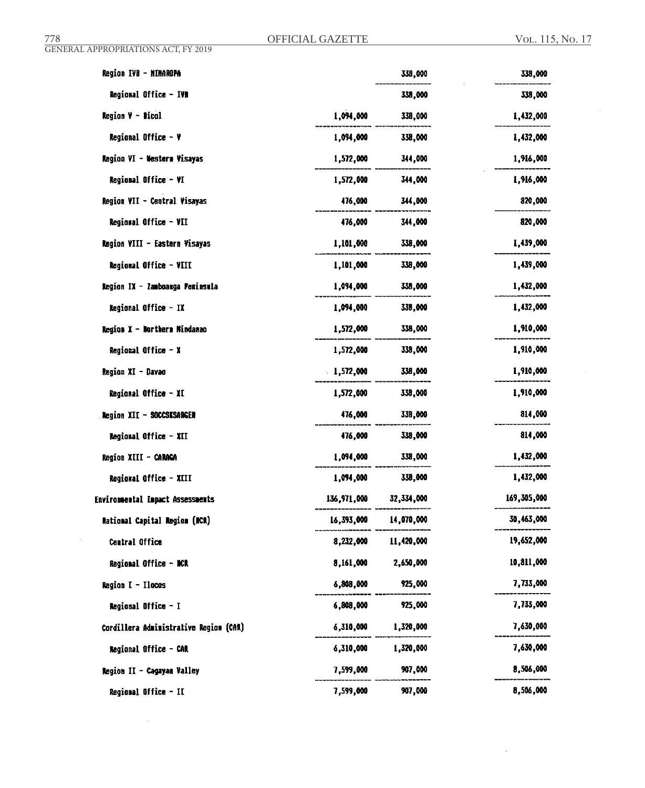$\sim$ 

 $\mathcal{L}_{\mathcal{A}}$ 

 $\mathcal{L}$ 

| Region IVB - NIMAROPA                   |             | 338,000      | 338,000     |
|-----------------------------------------|-------------|--------------|-------------|
| Regional Office - IVD                   |             | 338,000      | 338,000     |
| Region V - Dicol                        | 1,094,000   | 338,000      | 1,432,000   |
| <b>Regional Office - <math>Y</math></b> | 1,094,000   | 338,000      | 1,432,000   |
| Region VI - Nestern Visayas             | 1,572,000   | 344,000      | 1,916,000   |
| Regional Office - VI                    | 1,572,000   | 344,000      | 1,916,000   |
| Region VII - Central Visayas            | 476,000     | 344,000      | 820,000     |
| Regional Office - VII                   | 476,000     | 344,000      | 820,000     |
| Region VIII - Eastern Visayas           | 1,101,000   | 338,000      | 1,439,000   |
| Regional Office - VIII                  | 1,101,000   | 338,000      | 1,439,000   |
| Region IX - Zamboanga Peninsula         | 1,094,000   | 338,000      | 1,432,000   |
| Regional Office - IX                    | 1,094,000   | 338,000      | 1,432,000   |
| Region X - Northern Mindanao            | 1,572,000   | 338,000      | 1,910,000   |
| Regional Office $- x$                   | 1,572,000   | 338,000      | 1,910,000   |
| Region XI - Davao                       | 1,572,000   | 338,000      | 1,910,000   |
| Regional Office - XI                    | 1,572,000   | 338,000      | 1,910,000   |
| <b>Region XII - SOCCSKSARGEN</b>        | 476,000     | 338,000      | 814,000     |
| Regional Office - XII                   | 476,000     | 338,000      | 814,000     |
| Region XIII - CARAGA                    | 1,094,000   | 338,000      | 1,432,000   |
| Regional Office - XIII                  | 1,094,000   | 338,000      | 1,432,000   |
| Enviromental Impact Assessments         | 136,971,000 | 32, 334, 000 | 169,305,000 |
| <b>Mational Capital Region (NCR)</b>    | 16,393,000  | 14,070,000   | 30,463,000  |
| Central Office                          | 8,232,000   | 11,420,000   | 19,652,000  |
| Regional Office - NCR                   | 8,161,000   | 2,650,000    | 10,811,000  |
| Region I - Ilocos                       | 6,808,000   | 925,000      | 7,733,000   |
| Regional Office - I                     | 6,808,000   | 925,000      | 7,733,000   |
| Cordillera Administrative Region (CAR)  | 6,310,000   | 1,320,000    | 7,630,000   |
| Regional Office - CAR                   | 6,310,000   | 1,320,000    | 7,630,000   |
| Region II - Cagayan Valley              | 7,599,000   | 907,000      | 8,506,000   |
| Regional Office - II                    | 7,599,000   | 907,000      | 8,506,000   |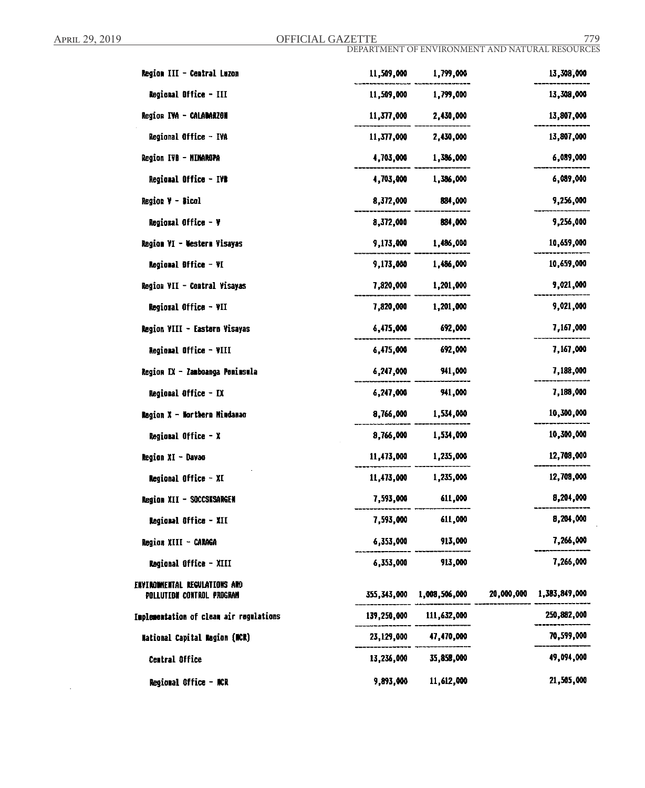$\bar{\beta}$ 

April 29, 2019 **OFFICIAL GAZETTE** 779

DEPARTMENT OF ENVIRONMENT AND NATURAL RESOURCES

| Region III - Central Luzon              | 11,509,000  | 1,799,000     |            | 13,308,000    |
|-----------------------------------------|-------------|---------------|------------|---------------|
| Regional Office - III                   | 11,509,000  | 1,799,000     |            | 13,308,000    |
| Region IVA - CALABARZON                 | 11,377,000  | 2,430,000     |            | 13,807,000    |
| Regional Office - IVA                   | 11,377,000  | 2,430,000     |            | 13,807,000    |
| Region IVB - MINAROPA                   | 4,703,000   | 1,386,000     |            | 6,089,000     |
| <b>Regional Office - IVB</b>            | 4,703,000   | 1,386,000     |            | 6,089,000     |
| Region V - Bical                        | 8,372,000   | 884,000       |            | 9,256,000     |
| Regional Office - V                     | 8,372,000   | 884,000       |            | 9,256,000     |
| Region VI - Western Visayas             | 9,173,000   | 1,486,000     |            | 10,659,000    |
| Regional Difice - VI                    | 9,173,000   | 1,486,000     |            | 10,659,000    |
| Region VII - Central Visayas            | 7,820,000   | 1,201,000     |            | 9,021,000     |
| Regional Office - VII                   | 7,820,000   | 1,201,000     |            | 9,021,000     |
| Region VIII - Eastern Visayas           | 6,475,000   | 692,000       |            | 7,167,000     |
| Regional Office - VIII                  | 6,475,000   | 692,000       |            | 7,167,000     |
| Region IX - Zamboanga Penimsula         | 6,247,000   | 941,000       |            | 7,188,000     |
| Regional Office - IX                    | 6,247,000   | 941,000       |            | 7,188,000     |
| Ragion X - Northern Mindanao            | 8,766,000   | 1,534,000     |            | 10,300,000    |
| Regional Office - X                     | 8,766,000   | 1,534,000     |            | 10,300,000    |
| Region XI - Davao                       | 11,473,000  | 1,235,000     |            | 12,708,000    |
| Regional Office - XI                    | 11,473,000  | 1,235,000     |            | 12,708,000    |
| Region XII - SOCCSKSARGEN               | 7,593,000   | 611,000       |            | 8,204,000     |
| Regional Office - XII                   | 7,593,000   | 611,000       |            | 8,204,000     |
| Region XIII - CARAGA                    | 6,353,000   | 913,000       |            | 7,266,000     |
| Regional Office - XIII                  | 6,353,000   | 913,000       |            | 7,266,000     |
| ENVIROMMENTAL REGULATIONS AND           |             |               |            |               |
| POLLUTIDM CONTROL PROGRAM               | 355,343,000 | 1,008,506,000 | 20,000,000 | 1,383,849,000 |
| Implementation of clean air regulations | 139,250,000 | 111,632,000   |            | 250,882,000   |
| <b>National Capital Region (NCR)</b>    | 23,129,000  | 47,470,000    |            | 70,599,000    |
| Central Office                          | 13,236,000  | 35,858,000    |            | 49,094,000    |
| Regional Office - MCR                   | 9,893,000   | 11,612,000    |            | 21,505,000    |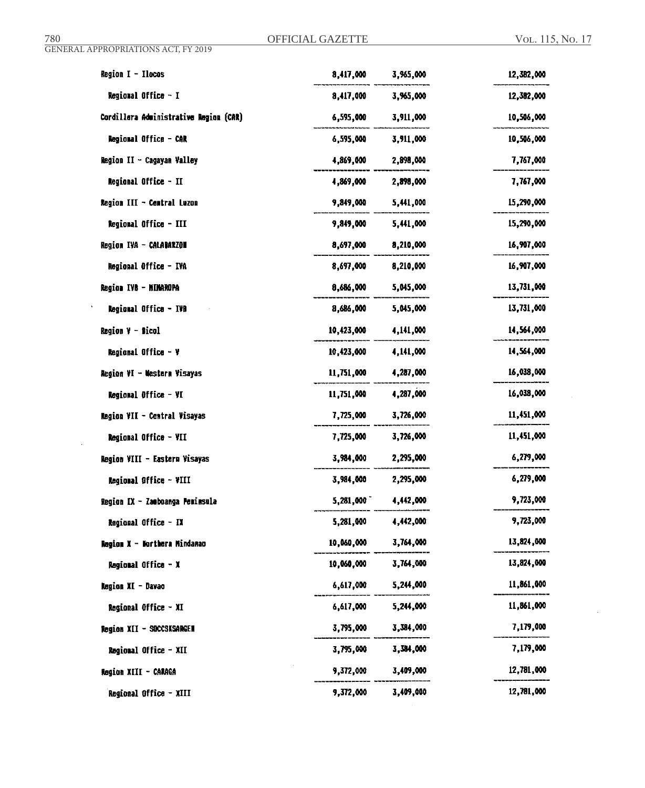| <b>Region <math>I - I</math>locos</b>  | 8,417,000  | 3,965,000 | 12,382,000 |
|----------------------------------------|------------|-----------|------------|
| Regional Office - I                    | 8,417,000  | 3,965,000 | 12,382,000 |
| Cordillera Administrative Region (CAR) | 6,595,000  | 3,911,000 | 10,506,000 |
| <b>Regional Office - CAR</b>           | 6,595,000  | 3,911,000 | 10,506,000 |
| Region II - Cagayan Valley             | 4,869,000  | 2,898,000 | 7,767,000  |
| Regional Office - II                   | 4,869,000  | 2,898,000 | 7,767,000  |
| Region III - Central Luzon             | 9,849,000  | 5,441,000 | 15,290,000 |
| Regional Office - III                  | 9,849,000  | 5,441,000 | 15,290,000 |
| Region IVA - CALABARZON                | 8,697,000  | 8,210,000 | 16,907,000 |
| Regional Office - IVA                  | 8,697,000  | 8,210,000 | 16,907,000 |
| Region IVB - MINAROPA                  | 8,686,000  | 5,045,000 | 13,731,000 |
| Regional Office - IVB                  | 8,686,000  | 5,045,000 | 13,731,000 |
| <b>Region <math>y -</math> Sicol</b>   | 10,423,000 | 4,141,000 | 14,564,000 |
| Regional Office - V                    | 10,423,000 | 4,141,000 | 14,564,000 |
| Region VI - Western Visayas            | 11,751,000 | 4,287,000 | 16,038,000 |
| Regional Office - VI                   | 11,751,000 | 4,287,000 | 16,038,000 |
| Region VII - Central Visayas           | 7,725,000  | 3,726,000 | 11,451,000 |
| Regional Office - VII                  | 7,725,000  | 3,726,000 | 11,451,000 |
| Region VIII - Eastern Visayas          | 3,984,000  | 2,295,000 | 6,279,000  |
| Regional Office - VIII                 | 3,984,000  | 2,295,000 | 6,279,000  |
| Region IX - Zasboanga Peninsula        | 5,281,000  | 4,442,000 | 9,723,000  |
| Regional Office - IX                   | 5,281,000  | 4,442,000 | 9,723,000  |
| Region X - Northern Mindanao           | 10,060,000 | 3,764,000 | 13,824,000 |
| Regional Office - X                    | 10,060,000 | 3,764,000 | 13,824,000 |
| Region XI - Davao                      | 6,617,000  | 5,244,000 | 11,861,000 |
| <b>Regional Office - XI</b>            | 6,617,000  | 5,244,000 | 11,861,000 |
| Region XII - SOCCSKSARGEN              | 3,795,000  | 3,384,000 | 7,179,000  |
| Regional Office - XII                  | 3,795,000  | 3,384,000 | 7,179,000  |
| Region XIII - CARAGA                   | 9,372,000  | 3,409,000 | 12,781,000 |
| Regional Office - XIII                 | 9,372,000  | 3,409,000 | 12,781,000 |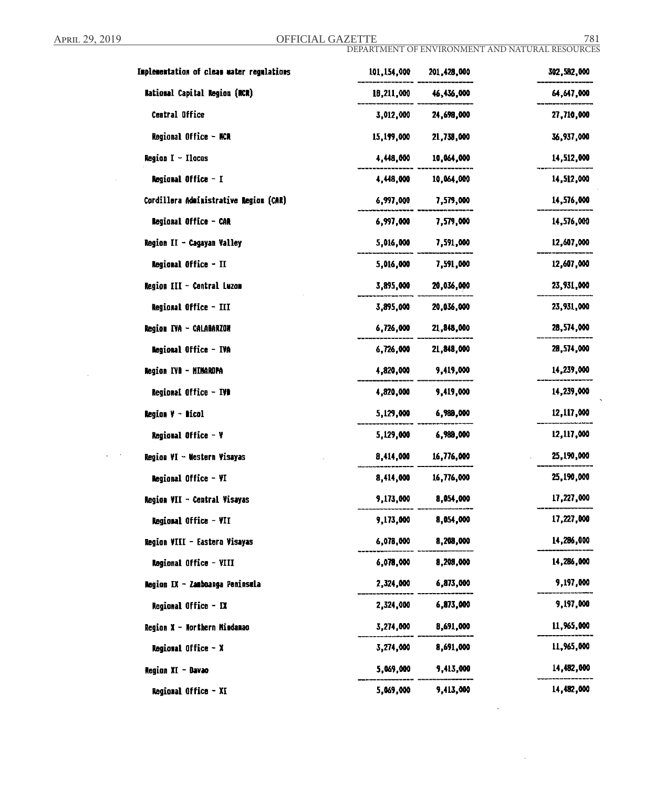$\sim$   $\sim$ 

 $\mathcal{L}$ 

 $\Delta \sim 10$ 

April 29, 2019 **OFFICIAL GAZETTE** 781

 $\sim$ 

 $\alpha$ 

| Implementation of clean water regulations | 101,154,000 | 201,428,000 | 302,582,000 |
|-------------------------------------------|-------------|-------------|-------------|
| National Capital Region (MCR)             | 18,211,000  | 46,436,000  | 64,647,000  |
| Central Office                            | 3,012,000   | 24,698,000  | 27,710,000  |
| Regional Office - NCR                     | 15,199,000  | 21,738,000  | 36,937,000  |
| <b>Region <math>I - I</math>locas</b>     | 4,448,000   | 10,064,000  | 14,512,000  |
| Regional Office - I                       | 4,448,000   | 10,064,000  | 14,512,000  |
| Cordillera Administrative Region (CAR)    | 6,997,000   | 7,579,000   | 14,576,000  |
| Regional Office - CAR                     | 6,997,000   | 7,579,000   | 14,576,000  |
| Region II - Cagayan Valley                | 5,016,000   | 7,591,000   | 12,607,000  |
| Regional Office - II                      | 5,016,000   | 7,591,000   | 12,607,000  |
| Region III - Central Luzon                | 3,895,000   | 20,036,000  | 23,931,000  |
| <b>Regioral Office - III</b>              | 3,895,000   | 20,036,000  | 23,931,000  |
| Region IVA - CALABARION                   | 6,726,000   | 21,848,000  | 28,574,000  |
| Regional Office - IVA                     | 6,726,000   | 21,848,000  | 28,574,000  |
| <b>Region IVB - MINAROPA</b>              | 4,820,000   | 9,419,000   | 14,239,000  |
| Regional Office - IVD                     | 4,820,000   | 9,419,000   | 14,239,000  |
| Region V - Dicol                          | 5,129,000   | 6,989,000   | 12,117,000  |
| Regional Office - Y                       | 5,129,000   | 6,988,000   | 12,117,000  |
| Region VI - Western Visayas               | 8,414,000   | 16,776,000  | 25,190,000  |
| Regional Office - VI                      | 8,414,000   | 16,776,000  | 25,190,000  |
| Region VII - Central Visayas              | 9,173,000   | 8,054,000   | 17,227,000  |
| Regional Office - VII                     | 9,173,000   | 8,054,000   | 17,227,000  |
| Region VIII - Eastern Visayas             | 6,078,000   | 8,208,000   | 14,286,000  |
| Regional Office - VIII                    | 6,078,000   | 8,208,000   | 14,286,000  |
| Region IX - Zamboanga Peninsula           | 2,324,000   | 6,873,000   | 9,197,000   |
| Regional Office - IX                      | 2,324,000   | 6,873,000   | 9,197,000   |
| Region X - Northern Mindanao              | 3,274,000   | 8,691,000   | 11,965,000  |
| Regional Office - X                       | 3,274,000   | 8,691,000   | 11,965,000  |
| Region XI - Davao                         | 5,069,000   | 9,413,000   | 14,482,000  |
| Regional Office - XI                      | 5,069,000   | 9,413,000   | 14,482,000  |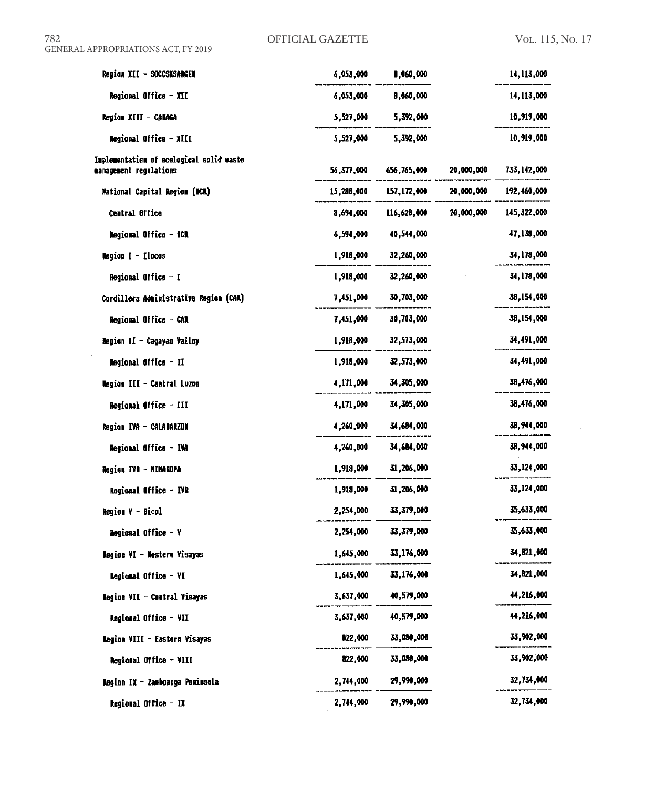$\ddot{\phantom{0}}$ 

| Region XII - SOCCSKSARGEN                                          | 6,053,000  | 8,060,000    |            | 14,113,000  |
|--------------------------------------------------------------------|------------|--------------|------------|-------------|
| Regional Office - XII                                              | 6,053,000  | 8,060,000    |            | 14,113,000  |
| <b>Region XIII - CARAGA</b>                                        | 5,527,000  | 5,392,000    |            | 10,919,000  |
| <b>Regional Office - XIII</b>                                      | 5,527,000  | 5,392,000    |            | 10,919,000  |
| Implementation of ecological solid waste<br>management regulations | 56,377,000 | 656,765,000  | 20,000,000 | 733,142,000 |
| National Capital Region (NCR)                                      | 15,288,000 | 157,172,000  | 20,000,000 | 192,460,000 |
| Central Office                                                     | 8,694,000  | 116,628,000  | 20,000,000 | 145,322,000 |
| Regional Office - NCR                                              | 6,594,000  | 40,544,000   |            | 47,138,000  |
| Region $I - I$ locos                                               | 1,918,000  | 32,260,000   |            | 34,178,000  |
| Regional Office - I                                                | 1,918,000  | 32,260,000   |            | 34,178,000  |
| Cordillera Administrative Region (CAR)                             | 7,451,000  | 30,703,000   |            | 38,154,000  |
| Regional Office - CAR                                              | 7,451,000  | 30,703,000   |            | 38,154,000  |
| Region II - Cagayan Valley                                         | 1,918,000  | 32,573,000   |            | 34,491,000  |
| <b>Regional Office - II</b>                                        | 1,918,000  | 32,573,000   |            | 34,491,000  |
| Region III - Central Luzon                                         | 4,171,000  | 34,305,000   |            | 38,476,000  |
| Regional Office - III                                              | 4,171,000  | 34,305,000   |            | 38,476,000  |
| Region IVA - CALABARZON                                            | 4,260,000  | 34,684,000   |            | 38,944,000  |
| <b>Regional Office - IVA</b>                                       | 4,260,000  | 34,684,000   |            | 38,944,000  |
| Region IVB - MIMAROPA                                              | 1,918,000  | 31,206,000   |            | 33,124,000  |
| Regional Office - IVB                                              | 1,918,000  | 31,206,000   |            | 33,124,000  |
| Region V – Dícol                                                   | 2,254,000  | 33,379,000   |            | 35,633,000  |
| <b>Regional Office - V</b>                                         | 2,254,000  | 33, 379, 000 |            | 35,633,000  |
| Region VI - Western Visayas                                        | 1,645,000  | 33,176,000   |            | 34,821,000  |
| Regional Office - VI                                               | 1,645,000  | 33,176,000   |            | 34,821,000  |
| Region VII - Central Visayas                                       | 3,637,000  | 40,579,000   |            | 44,216,000  |
| Regional Office - VII                                              | 3,637,000  | 40,579,000   |            | 44,216,000  |
| Region VIII - Eastorn Visayas                                      | 822,000    | 33,080,000   |            | 33,902,000  |
| Regional Office - VIII                                             | 822,000    | 33,080,000   |            | 33,962,000  |
| Region IX - Zamboanga Pesimsula                                    | 2,744,000  | 29,990,000   |            | 32,734,000  |
| Regional Office $-$ IX                                             | 2,744,000  | 29,990,000   |            | 32,734,000  |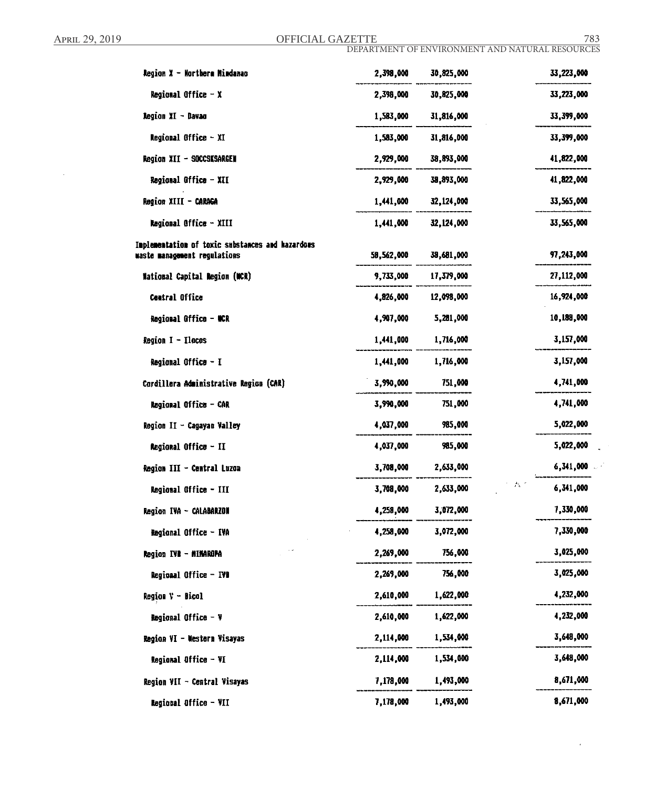April 29, 2019 **OFFICIAL GAZETTE** 783

DEPARTMENT OF ENVIRONMENT AND NATURAL RESOURCES

| Region X - Morthera Mindanas                                                     | 2,398,000  | 30,825,000 | 33,223,000 |
|----------------------------------------------------------------------------------|------------|------------|------------|
| Regional Office - X                                                              | 2,398,000  | 30,825,000 | 33,223,000 |
| Region XI - Davao                                                                | 1,583,000  | 31,816,000 | 33,399,000 |
| Regional Office - XI                                                             | 1,583,000  | 31,816,000 | 33,399,000 |
| Region XII - SOCCSKSARGEN                                                        | 2,929,000  | 38,893,000 | 41,822,000 |
| Regional Office - XII                                                            | 2,929,000  | 38,893,000 | 41,822,000 |
| Region XIII - CARAGA                                                             | 1,441,000  | 32,124,000 | 33,565,000 |
| Regional Office - XIII                                                           | 1,441,000  | 32,124,000 | 33,565,000 |
| Implementation of toxic substances and hazardows<br>waste management regulations | 58,562,000 | 38,681,000 | 97,243,000 |
| <b>National Capital Region (NCR)</b>                                             | 9,733,000  | 17,379,000 | 27,112,000 |
| <b>Central Office</b>                                                            | 4,826,000  | 12,098,000 | 16,924,000 |
| Regional Office - NCR                                                            | 4,907,000  | 5,281,000  | 10,188,000 |
| Region I - Ilocos                                                                | 1,441,000  | 1,716,000  | 3,157,000  |
| Regional Office - I                                                              | 1,441,000  | 1,716,000  | 3,157,000  |
| Cordillera Administrative Region (CAR)                                           | 3,990,000  | 751,000    | 4,741,000  |
| Regional Office - CAR                                                            | 3,990,000  | 751,000    | 4,741,000  |
| Region II - Cagayan Valley                                                       | 4,037,000  | 985,000    | 5,022,000  |
| Regional Office - II                                                             | 4,037,000  | 985,000    | 5,022,000  |
| Region III - Central Luzon                                                       | 3,708,000  | 2,633,000  | 6,341,000  |
| Regional Office - III                                                            | 3,708,000  | 2,633,000  | 6,341,000  |
| Region IVA - CALABARZON                                                          | 4,258,000  | 3,072,000  | 7,330,000  |
| Regional Office - IVA                                                            | 4,258,000  | 3,072,000  | 7,330,000  |
| Region IVA - MINAROPA                                                            | 2,269,000  | 756,000    | 3,025,000  |
| Regional Office - IVD                                                            | 2,269,000  | 756,000    | 3,025,000  |
| <b>Region V - Bicol</b>                                                          | 2,610,000  | 1,622,000  | 4,232,000  |
| Regional Office - V                                                              | 2,610,000  | 1,622,000  | 4,232,000  |
| Region VI - Western Visayas                                                      | 2,114,000  | 1,534,000  | 3,648,000  |
| Regional Office - VI                                                             | 2,114,000  | 1,534,000  | 3,648,000  |
| Region VII - Central Visayas                                                     | 7,178,000  | 1,493,000  | 8,671,000  |
| Regional Office - VII                                                            | 7,178,000  | 1,493,000  | 8,671,000  |

 $\cdot$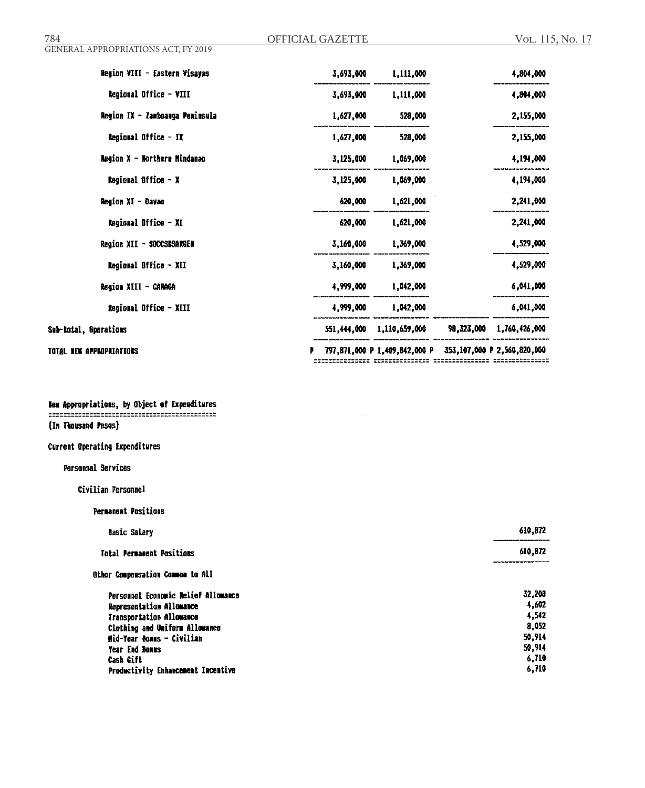| Region VIII - Eastern Visayas                 | 3,693,000   | 1,111,000                     |            | 4,804,000                   |
|-----------------------------------------------|-------------|-------------------------------|------------|-----------------------------|
| Regional Office - VIII                        | 3,693,000   | 1,111,000                     |            | 4,804,000                   |
| Region IX - Zamboanga Peminsula               | 1,627,000   | 528,000                       |            | 2,155,000                   |
| Regional Office - IX                          | 1,627,000   | 528,000                       |            | 2,155,000                   |
| Region X - Northern Mindanao                  | 3,125,000   | 1,069,000                     |            | 4,194,000                   |
| <b>Regional Office - <math>\lambda</math></b> | 3,125,000   | 1,069,000                     |            | 4,194,000                   |
| Region XI - Davao                             | 620,000     | 1,621,000                     |            | 2,241,000                   |
| Regional Office - XI                          | 620,000     | 1,621,000                     |            | 2,241,000                   |
| Region XII - SOCCSKSARGEN                     | 3,160,000   | 1,369,000                     |            | 4,529,000                   |
| Regional Office - XII                         | 3,160,000   | 1,369,000                     |            | 4,529,000                   |
| Region XIII - CARAGA                          | 4,999,000   | 1,042,000                     |            | 6,041,000                   |
| Regional Office - XIII                        | 4,999,000   | 1,042,000                     |            | 6,041,000                   |
| Sub-total, Operations                         | 551,444,000 | 1,110,659,000                 | 98,323,000 | 1,760,426,000               |
| TOTAL NEW APPROPRIATIONS                      |             | 797,871,000 P 1,409,842,000 P |            | 353,107,000 P 2,560,820,000 |

 $\sim$ 

 $\bar{z}$ 

New Appropriations, by Object of Expenditures 

(In Thousand Pesos)

## **Current Operating Expenditures**

Personnel Services

Civilian Personnel

|  | <b>Permanent Positions</b> |  |
|--|----------------------------|--|
|  |                            |  |

| <b>Basic Salary</b>                 | 610,872<br>--------------- |
|-------------------------------------|----------------------------|
| <b>Total Permanent Positions</b>    | 610,872<br>____________    |
| Other Compensation Common to All    |                            |
| Personnel Economic Melief Allowance | 32,208                     |
| Representation Allowance            | 4,602                      |
| <b>Transportation Allowance</b>     | 4.542                      |
| Clothing and Uniform Allowance      | 8,052                      |
| Mid-Year Boams - Civilian           | 50,914                     |
| Year End Bonns                      | 50,914                     |
| Cash Gift                           | 6,710                      |
| Productivity Enhancement Incentive  | 6,710                      |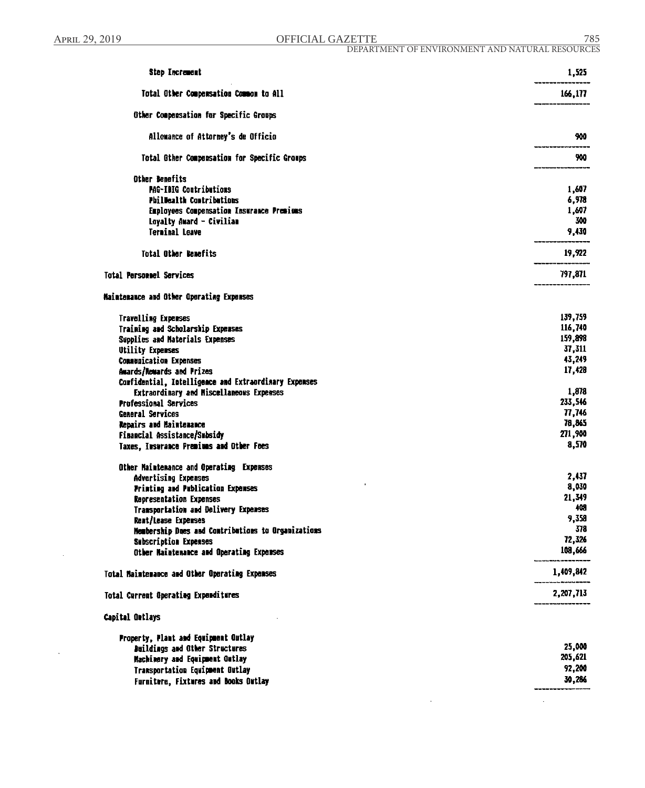$\sim$ 

April 29, 2019 **OFFICIAL GAZETTE** 785

| <b>Step Increment</b>                                 | 1,525     |
|-------------------------------------------------------|-----------|
| Total Other Compensation Common to All                | 166,177   |
| Other Compensation for Specific Groups                |           |
| Allowance of Attorney's de Officio                    | 900       |
| Total Other Compensation for Specific Groups          | 900       |
| Other Benefits                                        |           |
| PAG-IBIG Contributions                                | 1,607     |
| <b>PhilMealth Contributions</b>                       | 6,978     |
| Employees Compensation Insurance Premiums             | 1,607     |
| Loyalty Award - Civilian                              | 300       |
| <b>Terminal Leave</b>                                 | 9,430     |
| <b>Total Other Benefits</b>                           | 19,922    |
| <b>Total Personnel Services</b>                       | 797,871   |
| Maintenance and Other Operating Expenses              |           |
| <b>Travelling Expenses</b>                            | 139,759   |
| Training and Scholarship Expenses                     | 116,740   |
| Supplies and Materials Expenses                       | 159,898   |
| <b>Utility Expenses</b>                               | 37,311    |
| <b>Communication Expenses</b>                         | 43,249    |
| Awards/Rewards and Prizes                             | 17,428    |
| Confidential, Intelligence and Extraordinary Expenses |           |
| <b>Extraordinary and Miscellaneous Expenses</b>       | 1,878     |
| <b>Professional Services</b>                          | 233,546   |
| General Services                                      | 77,746    |
| Repairs and Maintenance                               | 78,865    |
| Financial Assistance/Subsidy                          | 271,900   |
| Taxes, Insurance Premiums and Other Fees              | 8,570     |
| Other Maintenance and Operating Expenses              |           |
| <b>Advertising Expenses</b>                           | 2,437     |
| <b>Printing and Publication Expenses</b>              | 8,030     |
| <b>Representation Expenses</b>                        | 21,349    |
| Transportation and Delivery Expenses                  | 408       |
| Reat/Lease Expenses                                   | 9,358     |
| Membership Dues and Contributions to Organizations    | 378       |
| Subscription Expenses                                 | 72,326    |
| Other Maintenance and Operating Expenses              | 108,666   |
| Total Maintenance and Other Operating Expenses        | 1,409,842 |
| Total Current Operating Expenditures                  | 2,207,713 |
| Capital Outlays                                       |           |
| Property, Plant and Equipment Outlay                  |           |
| <b>Buildings and Other Structures</b>                 | 25,000    |
| Machinery and Equipment Outlay                        | 205,621   |
| Transportation Equipment Outlay                       | 92,200    |
| Furniture, Fixtures and Books Outlay                  | 30,286    |

 $\bar{\beta}$ 

 $\ddot{\phantom{a}}$